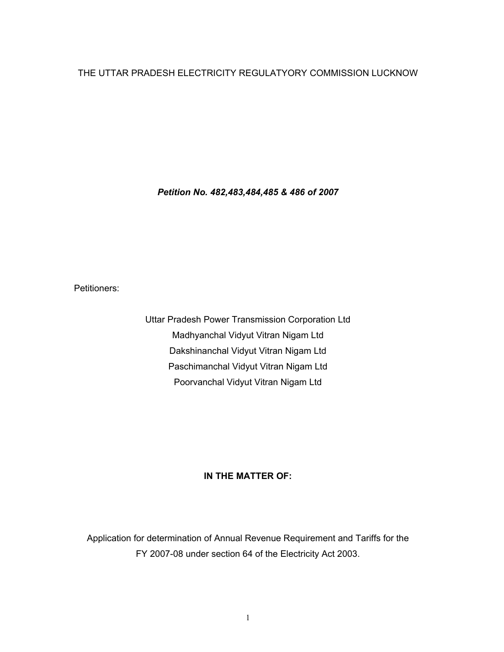## THE UTTAR PRADESH ELECTRICITY REGULATYORY COMMISSION LUCKNOW

*Petition No. 482,483,484,485 & 486 of 2007* 

Petitioners:

Uttar Pradesh Power Transmission Corporation Ltd Madhyanchal Vidyut Vitran Nigam Ltd Dakshinanchal Vidyut Vitran Nigam Ltd Paschimanchal Vidyut Vitran Nigam Ltd Poorvanchal Vidyut Vitran Nigam Ltd

## **IN THE MATTER OF:**

Application for determination of Annual Revenue Requirement and Tariffs for the FY 2007-08 under section 64 of the Electricity Act 2003.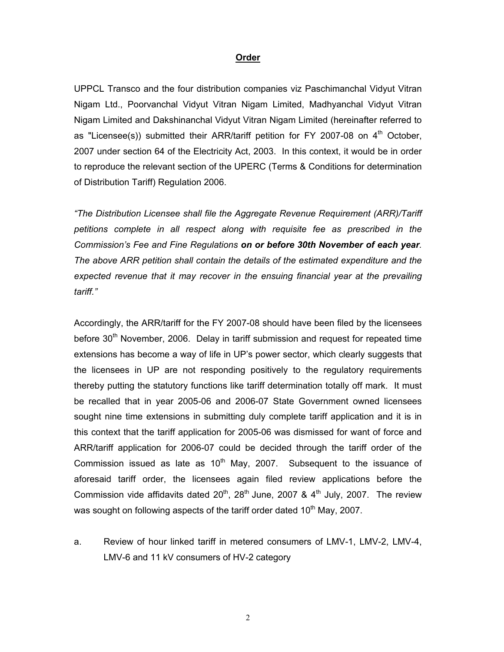## **Order**

UPPCL Transco and the four distribution companies viz Paschimanchal Vidyut Vitran Nigam Ltd., Poorvanchal Vidyut Vitran Nigam Limited, Madhyanchal Vidyut Vitran Nigam Limited and Dakshinanchal Vidyut Vitran Nigam Limited (hereinafter referred to as "Licensee(s)) submitted their ARR/tariff petition for FY 2007-08 on  $4<sup>th</sup>$  October, 2007 under section 64 of the Electricity Act, 2003. In this context, it would be in order to reproduce the relevant section of the UPERC (Terms & Conditions for determination of Distribution Tariff) Regulation 2006.

*"The Distribution Licensee shall file the Aggregate Revenue Requirement (ARR)/Tariff petitions complete in all respect along with requisite fee as prescribed in the Commission's Fee and Fine Regulations on or before 30th November of each year. The above ARR petition shall contain the details of the estimated expenditure and the*  expected revenue that it may recover in the ensuing financial year at the prevailing *tariff."* 

Accordingly, the ARR/tariff for the FY 2007-08 should have been filed by the licensees before  $30<sup>th</sup>$  November, 2006. Delay in tariff submission and request for repeated time extensions has become a way of life in UP's power sector, which clearly suggests that the licensees in UP are not responding positively to the regulatory requirements thereby putting the statutory functions like tariff determination totally off mark. It must be recalled that in year 2005-06 and 2006-07 State Government owned licensees sought nine time extensions in submitting duly complete tariff application and it is in this context that the tariff application for 2005-06 was dismissed for want of force and ARR/tariff application for 2006-07 could be decided through the tariff order of the Commission issued as late as  $10<sup>th</sup>$  May, 2007. Subsequent to the issuance of aforesaid tariff order, the licensees again filed review applications before the Commission vide affidavits dated  $20<sup>th</sup>$ ,  $28<sup>th</sup>$  June, 2007 &  $4<sup>th</sup>$  July, 2007. The review was sought on following aspects of the tariff order dated  $10<sup>th</sup>$  May, 2007.

a. Review of hour linked tariff in metered consumers of LMV-1, LMV-2, LMV-4, LMV-6 and 11 kV consumers of HV-2 category

2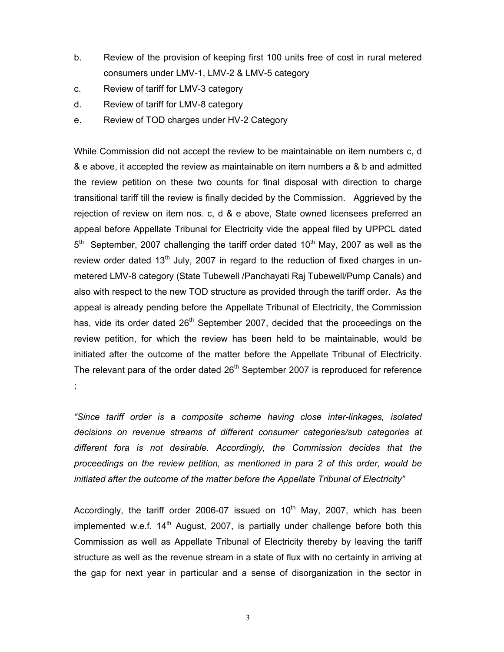- b. Review of the provision of keeping first 100 units free of cost in rural metered consumers under LMV-1, LMV-2 & LMV-5 category
- c. Review of tariff for LMV-3 category
- d. Review of tariff for LMV-8 category
- e. Review of TOD charges under HV-2 Category

While Commission did not accept the review to be maintainable on item numbers c, d & e above, it accepted the review as maintainable on item numbers a & b and admitted the review petition on these two counts for final disposal with direction to charge transitional tariff till the review is finally decided by the Commission. Aggrieved by the rejection of review on item nos. c, d & e above, State owned licensees preferred an appeal before Appellate Tribunal for Electricity vide the appeal filed by UPPCL dated  $5<sup>th</sup>$  September, 2007 challenging the tariff order dated 10<sup>th</sup> May, 2007 as well as the review order dated  $13<sup>th</sup>$  July, 2007 in regard to the reduction of fixed charges in unmetered LMV-8 category (State Tubewell /Panchayati Raj Tubewell/Pump Canals) and also with respect to the new TOD structure as provided through the tariff order. As the appeal is already pending before the Appellate Tribunal of Electricity, the Commission has, vide its order dated  $26<sup>th</sup>$  September 2007, decided that the proceedings on the review petition, for which the review has been held to be maintainable, would be initiated after the outcome of the matter before the Appellate Tribunal of Electricity. The relevant para of the order dated  $26<sup>th</sup>$  September 2007 is reproduced for reference ;

*"Since tariff order is a composite scheme having close inter-linkages, isolated decisions on revenue streams of different consumer categories/sub categories at different fora is not desirable. Accordingly, the Commission decides that the proceedings on the review petition, as mentioned in para 2 of this order, would be initiated after the outcome of the matter before the Appellate Tribunal of Electricity"* 

Accordingly, the tariff order 2006-07 issued on  $10<sup>th</sup>$  May, 2007, which has been implemented w.e.f.  $14<sup>th</sup>$  August, 2007, is partially under challenge before both this Commission as well as Appellate Tribunal of Electricity thereby by leaving the tariff structure as well as the revenue stream in a state of flux with no certainty in arriving at the gap for next year in particular and a sense of disorganization in the sector in

3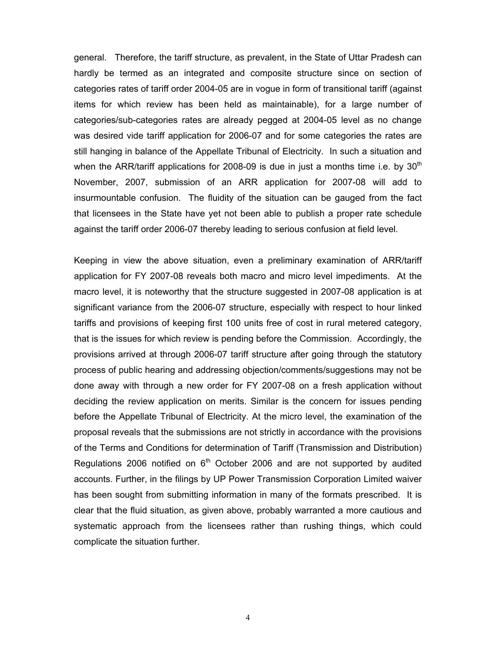general. Therefore, the tariff structure, as prevalent, in the State of Uttar Pradesh can hardly be termed as an integrated and composite structure since on section of categories rates of tariff order 2004-05 are in vogue in form of transitional tariff (against items for which review has been held as maintainable), for a large number of categories/sub-categories rates are already pegged at 2004-05 level as no change was desired vide tariff application for 2006-07 and for some categories the rates are still hanging in balance of the Appellate Tribunal of Electricity. In such a situation and when the ARR/tariff applications for 2008-09 is due in just a months time i.e. by  $30<sup>th</sup>$ November, 2007, submission of an ARR application for 2007-08 will add to insurmountable confusion. The fluidity of the situation can be gauged from the fact that licensees in the State have yet not been able to publish a proper rate schedule against the tariff order 2006-07 thereby leading to serious confusion at field level.

Keeping in view the above situation, even a preliminary examination of ARR/tariff application for FY 2007-08 reveals both macro and micro level impediments. At the macro level, it is noteworthy that the structure suggested in 2007-08 application is at significant variance from the 2006-07 structure, especially with respect to hour linked tariffs and provisions of keeping first 100 units free of cost in rural metered category, that is the issues for which review is pending before the Commission. Accordingly, the provisions arrived at through 2006-07 tariff structure after going through the statutory process of public hearing and addressing objection/comments/suggestions may not be done away with through a new order for FY 2007-08 on a fresh application without deciding the review application on merits. Similar is the concern for issues pending before the Appellate Tribunal of Electricity. At the micro level, the examination of the proposal reveals that the submissions are not strictly in accordance with the provisions of the Terms and Conditions for determination of Tariff (Transmission and Distribution) Regulations 2006 notified on  $6<sup>th</sup>$  October 2006 and are not supported by audited accounts. Further, in the filings by UP Power Transmission Corporation Limited waiver has been sought from submitting information in many of the formats prescribed. It is clear that the fluid situation, as given above, probably warranted a more cautious and systematic approach from the licensees rather than rushing things, which could complicate the situation further.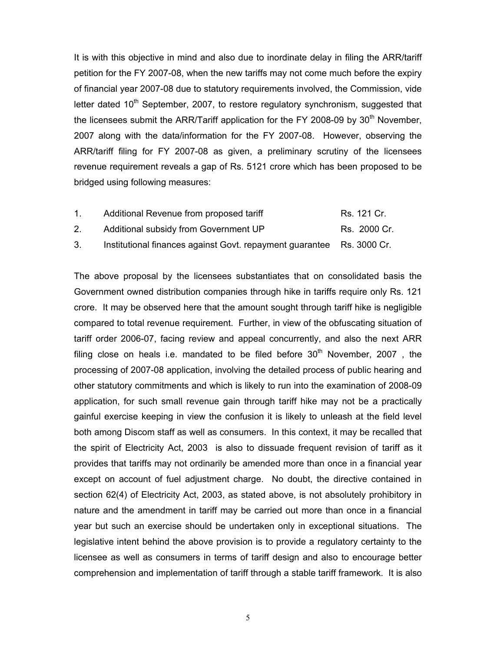It is with this objective in mind and also due to inordinate delay in filing the ARR/tariff petition for the FY 2007-08, when the new tariffs may not come much before the expiry of financial year 2007-08 due to statutory requirements involved, the Commission, vide letter dated  $10<sup>th</sup>$  September, 2007, to restore regulatory synchronism, suggested that the licensees submit the ARR/Tariff application for the FY 2008-09 by  $30<sup>th</sup>$  November, 2007 along with the data/information for the FY 2007-08. However, observing the ARR/tariff filing for FY 2007-08 as given, a preliminary scrutiny of the licensees revenue requirement reveals a gap of Rs. 5121 crore which has been proposed to be bridged using following measures:

| Additional Revenue from proposed tariff<br>Rs. 121 Cr. |  |
|--------------------------------------------------------|--|
|--------------------------------------------------------|--|

- 2. Additional subsidy from Government UP Rs. 2000 Cr.
- 3. Institutional finances against Govt. repayment guarantee Rs. 3000 Cr.

The above proposal by the licensees substantiates that on consolidated basis the Government owned distribution companies through hike in tariffs require only Rs. 121 crore. It may be observed here that the amount sought through tariff hike is negligible compared to total revenue requirement. Further, in view of the obfuscating situation of tariff order 2006-07, facing review and appeal concurrently, and also the next ARR filing close on heals i.e. mandated to be filed before  $30<sup>th</sup>$  November, 2007, the processing of 2007-08 application, involving the detailed process of public hearing and other statutory commitments and which is likely to run into the examination of 2008-09 application, for such small revenue gain through tariff hike may not be a practically gainful exercise keeping in view the confusion it is likely to unleash at the field level both among Discom staff as well as consumers. In this context, it may be recalled that the spirit of Electricity Act, 2003 is also to dissuade frequent revision of tariff as it provides that tariffs may not ordinarily be amended more than once in a financial year except on account of fuel adjustment charge. No doubt, the directive contained in section 62(4) of Electricity Act, 2003, as stated above, is not absolutely prohibitory in nature and the amendment in tariff may be carried out more than once in a financial year but such an exercise should be undertaken only in exceptional situations. The legislative intent behind the above provision is to provide a regulatory certainty to the licensee as well as consumers in terms of tariff design and also to encourage better comprehension and implementation of tariff through a stable tariff framework. It is also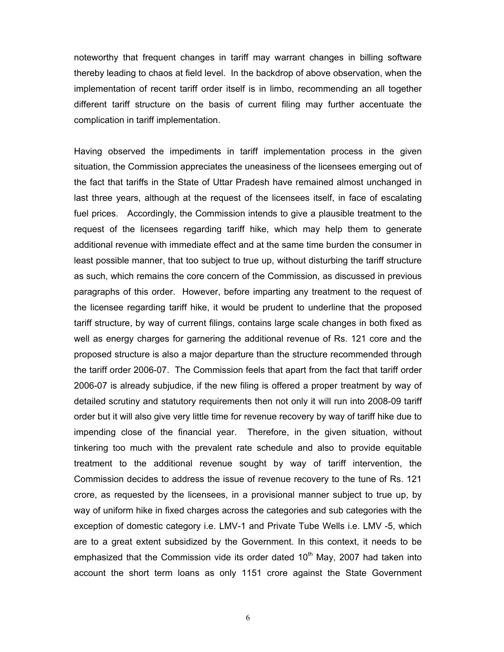noteworthy that frequent changes in tariff may warrant changes in billing software thereby leading to chaos at field level. In the backdrop of above observation, when the implementation of recent tariff order itself is in limbo, recommending an all together different tariff structure on the basis of current filing may further accentuate the complication in tariff implementation.

Having observed the impediments in tariff implementation process in the given situation, the Commission appreciates the uneasiness of the licensees emerging out of the fact that tariffs in the State of Uttar Pradesh have remained almost unchanged in last three years, although at the request of the licensees itself, in face of escalating fuel prices. Accordingly, the Commission intends to give a plausible treatment to the request of the licensees regarding tariff hike, which may help them to generate additional revenue with immediate effect and at the same time burden the consumer in least possible manner, that too subject to true up, without disturbing the tariff structure as such, which remains the core concern of the Commission, as discussed in previous paragraphs of this order. However, before imparting any treatment to the request of the licensee regarding tariff hike, it would be prudent to underline that the proposed tariff structure, by way of current filings, contains large scale changes in both fixed as well as energy charges for garnering the additional revenue of Rs. 121 core and the proposed structure is also a major departure than the structure recommended through the tariff order 2006-07. The Commission feels that apart from the fact that tariff order 2006-07 is already subjudice, if the new filing is offered a proper treatment by way of detailed scrutiny and statutory requirements then not only it will run into 2008-09 tariff order but it will also give very little time for revenue recovery by way of tariff hike due to impending close of the financial year. Therefore, in the given situation, without tinkering too much with the prevalent rate schedule and also to provide equitable treatment to the additional revenue sought by way of tariff intervention, the Commission decides to address the issue of revenue recovery to the tune of Rs. 121 crore, as requested by the licensees, in a provisional manner subject to true up, by way of uniform hike in fixed charges across the categories and sub categories with the exception of domestic category i.e. LMV-1 and Private Tube Wells i.e. LMV -5, which are to a great extent subsidized by the Government. In this context, it needs to be emphasized that the Commission vide its order dated 10<sup>th</sup> May, 2007 had taken into account the short term loans as only 1151 crore against the State Government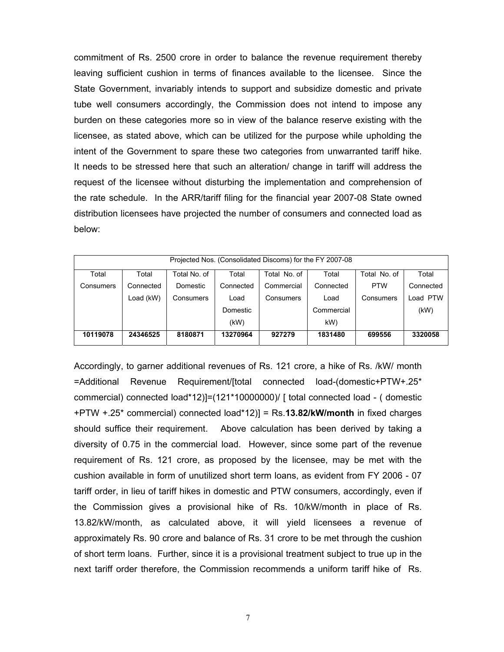commitment of Rs. 2500 crore in order to balance the revenue requirement thereby leaving sufficient cushion in terms of finances available to the licensee. Since the State Government, invariably intends to support and subsidize domestic and private tube well consumers accordingly, the Commission does not intend to impose any burden on these categories more so in view of the balance reserve existing with the licensee, as stated above, which can be utilized for the purpose while upholding the intent of the Government to spare these two categories from unwarranted tariff hike. It needs to be stressed here that such an alteration/ change in tariff will address the request of the licensee without disturbing the implementation and comprehension of the rate schedule. In the ARR/tariff filing for the financial year 2007-08 State owned distribution licensees have projected the number of consumers and connected load as below:

| Projected Nos. (Consolidated Discoms) for the FY 2007-08 |           |              |           |              |            |              |           |  |  |
|----------------------------------------------------------|-----------|--------------|-----------|--------------|------------|--------------|-----------|--|--|
| Total                                                    | Total     | Total No. of | Total     | Total No. of | Total      | Total No. of | Total     |  |  |
| Consumers                                                | Connected | Domestic     | Connected | Commercial   | Connected  | <b>PTW</b>   | Connected |  |  |
|                                                          | Load (kW) | Consumers    | Load      | Consumers    | Load       | Consumers    | Load PTW  |  |  |
|                                                          |           |              | Domestic  |              | Commercial |              | (kW)      |  |  |
|                                                          |           |              | (KW)      |              | kW)        |              |           |  |  |
| 10119078                                                 | 24346525  | 8180871      | 13270964  | 927279       | 1831480    | 699556       | 3320058   |  |  |

Accordingly, to garner additional revenues of Rs. 121 crore, a hike of Rs. /kW/ month =Additional Revenue Requirement/[total connected load-(domestic+PTW+.25\* commercial) connected load\*12)]=(121\*10000000)/ [ total connected load - ( domestic +PTW +.25\* commercial) connected load\*12)] = Rs.**13.82/kW/month** in fixed charges should suffice their requirement. Above calculation has been derived by taking a diversity of 0.75 in the commercial load. However, since some part of the revenue requirement of Rs. 121 crore, as proposed by the licensee, may be met with the cushion available in form of unutilized short term loans, as evident from FY 2006 - 07 tariff order, in lieu of tariff hikes in domestic and PTW consumers, accordingly, even if the Commission gives a provisional hike of Rs. 10/kW/month in place of Rs. 13.82/kW/month, as calculated above, it will yield licensees a revenue of approximately Rs. 90 crore and balance of Rs. 31 crore to be met through the cushion of short term loans. Further, since it is a provisional treatment subject to true up in the next tariff order therefore, the Commission recommends a uniform tariff hike of Rs.

7